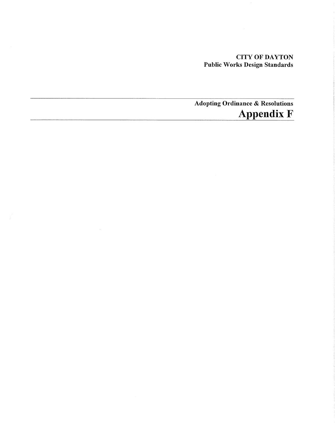## CITY OF DAYTON Public Works Design Standards

Adopting Ordinance & Resolutions Appendix F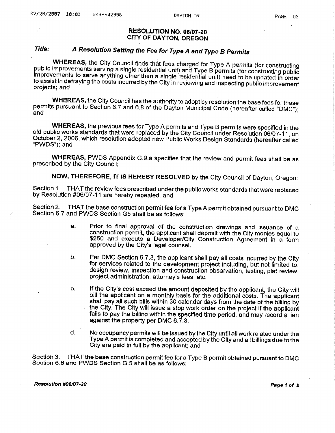#### RESOLUTION NO. 06/07-20 CITY OF DAYTON, OREGON .

## Title: A Resolution Setting the Fee for Type A and Type B Permits

WHEREAS, the City Council finds that fees charged for Type A permits (for constructing public improvements serving a single residential unit) and Type B permits (for constructing public improvements to serve anything other than a single residential unit) need to be updated in order to assist in defraying the costs incurred by the City in reviewing and inspecting public improvement<br>projects; and

WHEREAS, the City Council has the authority to adopt by resolution the base fees for these permits pursuant to Section 6.7 and 6.8 of the Dayton Municipal Code (hereafter called "DMC");<br>and

WHEREAS, the previous fees for Type A permits and Type B permits were specified in the old public works standards that were replaced by the City Council under Resolution 06/07-11, on October 2, 2006, which resolution adopted new Public Works Design Standards (hereafter called "PWDS"); and

WHEREAS, PWDS Appendix G.9.a specifies that the review and permit fees shall be as prescribed by the City Council;

NOW, THEREFORE, IT IS HEREBY RESOLVED by the City Council of Dayton, Oregon:

Section 1. THAT the review fees prescribed under the public works standards that were replaced by Resolution #06/07-11 are hereby repealed, and

Section 2. THAT the base construction permit fee for a Type A permit obtained pursuant to DMC Section 6.7 and PWDS Section G5 shall be as follows:

- a. Prior to final approval of the construction drawings and issuance of <sup>a</sup> \$250 and execute a Developer/City Construction Agreement in a form approved by the City's legal counsel.
- b. Per DMC Section 6.7.3, the applicant shall pay all costs incurred by the City for services related to the development project including, but not limited to, design review, inspection and construction observation, testing, plat review, project administration, attorney's fees, etc.
- c. If the City's cost exceed the amount deposited by the applicant, the City will bill the applicant on a monthly basis for the additional costs. The applicant shall pay all such bills within 30 calendar days from the date of the billing by the City. The City will issue a stop work order on the project if the applicant falls to pay the billing within the specified time period, and may record a lien against the property per DMC 6.7.3.
- d. No occupancy permits will be issued by the City until all work related under the Type A permit is completed and accepted by the City and all billings due to the City are paid in full by the applicant; and

Section 3. THAT the base construction permit fee for a Type B permit obtained pursuant to DMC<br>Section 6.8 and PWDS Section G.5 shall be as follows;

Resolution #06/07-20 Page 1 of 2 Page 1 of 2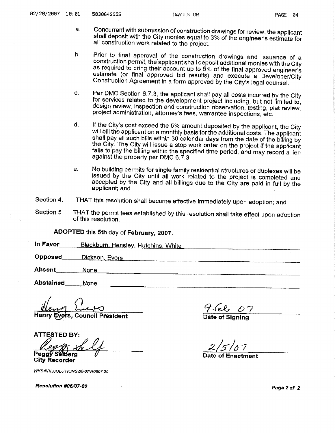- a. Concurrent with submission of construction drawings for review, the applicant shall deposit with the City monies equal to 3% of the engineer's estimate for all construction work related to the project.
- b. Prior to final approval of the construction drawings and issuance of <sup>a</sup> construction permit, the applicant shall deposit additional monies with the City as required to bring their account up to 5% of the final approved engineer's estimate (or final approved bid results) and execute a Developer/City Construction Agreement in a form approved by the City's legal counsel.
- c. Per DMC Section 6.7.3, the applicant shall pay all costs incurred by the City for services related to the development project including, but not limited to, design review, inspection and construction observation, testing, plat review, project administration, attorney's fees, warrantee inspections, etc.
- d. If the City's cost exceed the 5% amount deposited by the applicant, the City will bill the applicant on a monthly basis for the additional costs. The applicant shall pay all such bills within 30 calendar days from the date of the billing by the City. The City will issue a stop work order on the project if the applicant fails to pay the billing within the specified time period, and may record a lien against the property per DMC 6.7.3.
- e. No building permits for single family residential structures or duplexes will be issued by the City until all work related to the project is completed and accepted by the City and all billings due to the City are paid in full by the applicant; and
- Section 4. THAT this resolution shall become effective immediately upon adoption; and
- Section 5 THAT the permit fees established by this resolution shall take effect upon adoption of this resolution.

ADOPTED this 5th day of February, 2007.

In Favor Blackburn, Hensley, Hutchins, White

**Opposed**  $^{\bullet}$   $^{\bullet}$   $^{\bullet}$   $^{\bullet}$   $^{\bullet}$   $^{\bullet}$   $^{\bullet}$   $^{\bullet}$   $^{\bullet}$   $^{\bullet}$   $^{\bullet}$   $^{\bullet}$   $^{\bullet}$   $^{\bullet}$   $^{\bullet}$   $^{\bullet}$   $^{\bullet}$   $^{\bullet}$   $^{\bullet}$   $^{\bullet}$   $^{\bullet}$   $^{\bullet}$   $^{\bullet}$   $^{\bullet}$   $^{\bullet}$   $^{\bullet}$   $^{\bullet}$   $^{\bullet}$   $^{\bullet}$   $^{\bullet}$   $^{\bullet}$   $^{\bullet$ 

Absent Absent.~~~\_\_:.::N~o~n~e~~~~~~~~~~~~~~~~~~~~~~~~~~-

Abstained None

**Vers, Council President** 

ATTESTED BY: Peggy Selberg  $\sqrt{ }$   $\sqrt{ }$  Date of Enactment City Recorder

WKS4\RESOLUTIONS\06-07\R0607.20

Hel 07

Date of Signing

*Resolution #06107·20* Page 2 of *2*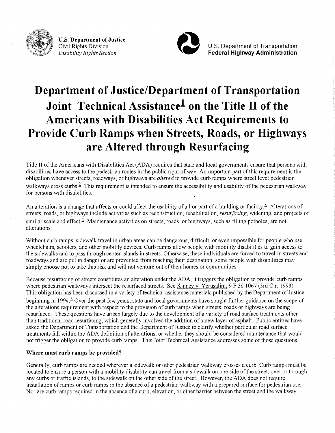

U.S. **Department of Justice**  Civil Rights Division *Disability Rights Section* 



U.S. Department of Transportation **Federal Highway Administration** 

# **Department of Justice/Department of Transportation Joint Technical Assistancel on the Title II of the Americans with Disabilities Act Requirements to Provide Curb Ramps when Streets, Roads, or Highways are Altered through Resurfacing**

Title II of the Americans with Disabilities Act (ADA) requires that state and local governments ensure that persons with disabilities have access to the pedestrian routes in the public right of way. An important part of this requirement is the obligation whenever streets, roadways, or highways are *altered* to provide curb ramps where street level pedestrian walkways cross curbs.<sup>2</sup> This requirement is intended to ensure the accessibility and usability of the pedestrian walkway for persons with disabilities.

An alteration is a change that affects or could affect the usability of all or part of a building or facility.<sup>2</sup> Alterations of streets, roads, or highways include activities such as reconstruction, rehabilitation, *reswfacing,* widening, and projects of similar scale and effect. $\frac{4}{3}$  Maintenance activities on streets, roads, or highways, such as filling potholes, are not alterations.

Without curb ramps, sidewalk travel in urban areas can be dangerous, difficult, or even impossible for people who use wheelchairs, scooters, and other mobility devices. Curb ramps allow people with mobility disabilities to gain access to the sidewalks and to pass through center islands in streets. Otherwise, these individuals are forced to travel in streets and roadways and are put in danger or are prevented from reaching their destination; some people with disabilities may simply choose not to take this risk and will not venture out of their homes or communities.

Because resurfacing of streets constitutes an alteration under the ADA, it triggers the obligation to provide curb ramps where pedestrian walkways intersect the resurfaced streets. See Kinney v. Yerusalim, 9 F 3d 1067 (3rd Cir. 1993). This obligation has been discussed in a variety of technical assistance materials published by the Department of Justice beginning in 1994.<sup>5</sup> Over the past few years, state and local governments have sought further guidance on the scope of the alterations requirement with respect to the provision of curb ramps when streets, roads or highways are being resurfaced. These questions have arisen largely due to the development of a variety of road surface treatments other than traditional road resurfacing, which generally involved the addition of a new layer of asphalt. Public entities have asked the Department of Transportation and the Department of Justice to clarify whether particular road surface treatments fall within the ADA definition of alterations, or whether they should be considered maintenance that would not trigger the obligation to provide curb ramps. This Joint Technical Assistance addresses some of those questions.

#### **Where must curb ramps be provided?**

Generally, curb ramps are needed wherever a sidewalk or other pedestrian walkway crosses a curb. Curb ramps must be located to ensure a person with a mobility disability can travel from a sidewalk on one side of the street, over or through any curbs or traffic islands, to the sidewalk on the other side of the street. However, the ADA does not require installation of ramps or curb ramps in the absence of a pedestrian walkway with a prepared surface for pedestrian use. Nor are curb ramps required in the absence of a curb, elevation, or other barrier between the street and the walkway.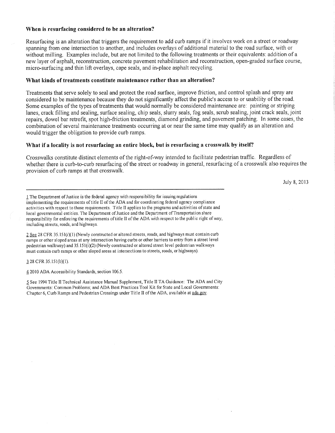#### **When is resurfacing considered to be an alteration?**

Resurfacing is an alteration that triggers the requirement to add curb ramps if it involves work on a street or roadway spanning from one intersection to another, and includes overlays of additional material to the road surface, with or without milling. Examples include, but are not limited to the following treatments or their equivalents: addition of <sup>a</sup> new layer of asphalt, reconstruction, concrete pavement rehabilitation and reconstruction, open-graded surface course, micro-surfacing and thin lift overlays, cape seals, and in-place asphalt recycling.

#### **What kinds of treatments constitute maintenance rather than an alteration?**

Treatments that serve solely to seal and protect the road surface, improve friction, and control splash and spray are considered to be maintenance because they do not significantly affect the public's access to or usability of the road. Some examples of the types of treatments that would normally be considered maintenance are: painting or striping lanes, crack filling and sealing, surface sealing, chip seals, slurry seals, fog seals, scrub sealing, joint crack seals, joint repairs, dowel bar retrofit, spot high-friction treatments, diamond grinding, and pavement patching. In some cases, the combination of several maintenance treatments occurring at or near the same time may qualify as an alteration and would trigger the obligation to provide curb ramps.

#### **What if a locality is not resurfacing an entire block, but is resurfacing a crosswalk by itself?**

Crosswalks constitute distinct elements of the right-of-way intended to facilitate pedestrian traffic. Regardless of whether there is curb-to-curb resurfacing of the street or roadway in general, resurfacing of a crosswalk also requires the provision of curb ramps at that crosswalk.

July 8, 2013

l The Department of Justice is the federal agency with responsibility for issuing regulations implementing the requirements of title II of the ADA and for coordinating federal agency compliance activities with respect to those requirements. Title II applies to the programs and activities of state and local governmental entities. The Department of Justice and the Department of Transportation share responsibility for enforcing the requirements of title II of the ADA with respect to the public right of way, including streets, roads, and highways.

2 See 28 CFR 35.151(i)(1) (Newly constructed or altered streets, roads, and highways must contain curb ramps or other sloped areas at any intersection having curbs or other barriers to entry from a street level pedestrian walkway) and 35. l5l(i)(2) (Newly constructed or altered street level pedestrian walkways must contain curb ramps or other sloped areas at intersections to streets, roads, or highways) .

.J.28 CFR 35.l5l(b)(l).

12010 ADA Accessibility Standards, section 106.5.

~See 1994 Title II Technical Assistance Manual Supplement, Title II TA Guidance: The ADA and City Governments: Common Problems; and ADA Best Practices Tool Kit for State and Local Governments: Chapter 6, Curb Ramps and Pedestrian Crossings under Title II of the ADA, available at ada.gov.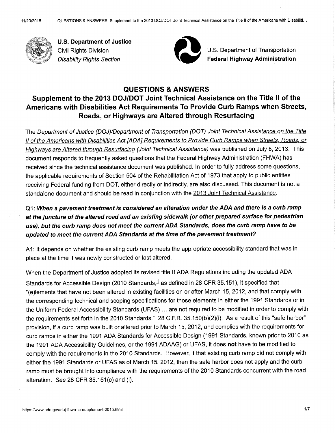

**U.S. Department of Justice**  Civil Rights Division Disability Rights Section



U.S. Department of Transportation ~..,. **Federal Highway Administration** 

#### **QUESTIONS & ANSWERS**

## **Supplement to the 2013 DOJ/DOT Joint Technical Assistance on the Title II of the Americans with Disabilities Act Requirements To Provide Curb Ramps when Streets, Roads, or Highways are Altered through Resurfacing**

The Department of Justice (DOJ)/Department of Transportation (DOT) Joint Technical Assistance on the Title II of the Americans with Disabilities Act [ADA] Requirements to Provide Curb Ramps when Streets, Roads, or Highways are Altered through Resurfacing (Joint Technical Assistance) was published on July 8, 2013. This document responds to frequently asked questions that the Federal Highway Administration (FHWA) has received since the technical assistance document was published. In order to fully address some questions, the applicable requirements of Section 504 of the Rehabilitation Act of 1973 that apply to public entities receiving Federal funding from DOT, either directly or indirectly, are also discussed. This document is not a standalone document and should be read in conjunction with the 2013 Joint Technical Assistance.

## Q1: **When a pavement treatment is considered an alteration under the ADA and there is a curb ramp at the juncture of the altered road and an existing sidewalk (or other prepared surface for pedestrian use), but the curb ramp does not meet the current ADA Standards, does the curb ramp have to be updated to meet the current ADA Standards at the time of the pavement treatment?**

<sup>A</sup>1: It depends on whether the existing curb ramp meets the appropriate accessibility standard that was in place at the time it was newly constructed or last altered.

When the Department of Justice adopted its revised title II ADA Regulations including the updated ADA Standards for Accessible Design (2010 Standards,  $1$  as defined in 28 CFR 35.151), it specified that "(e)lements that have not been altered in existing facilities on or after March 15, 2012, and that comply with the corresponding technical and scoping specifications for those elements in either the 1991 Standards or in the Uniform Federal Accessibility Standards (UFAS) ... are not required to be modified in order to comply with the requirements set forth in the 2010 Standards." 28 C.F.R. 35.150(b)(2)(i). As a result of this "safe harbor" provision, if a curb ramp was built or altered prior to March 15, 2012, and complies with the requirements for curb ramps in either the 1991 ADA Standards for Accessible Design (1991 Standards, known prior to 2010 as the 1991 ADA Accessibility Guidelines, or the 1991 ADAAG) or UFAS, it does **not** have to be modified to comply with the requirements in the 2010 Standards. However, if that existing curb ramp did not comply with either the 1991 Standards or UFAS as of March 15, 2012, then the safe harbor does not apply and the curb ramp must be brought into compliance with the requirements of the 2010 Standards concurrent with the road alteration. See 28 CFR 35.151(c) and (i).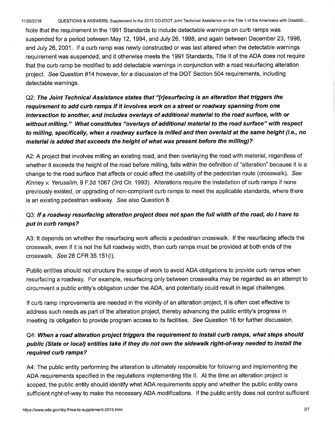Note that the requirement in the 1991 Standards to include detectable warnings on curb ramps was suspended for a period between May 12, 1994, and July 26, 1998, and again between December 23, 1998, and July 26, 2001. If a curb ramp was newly constructed or was last altered when the detectable warnings requirement was suspended, and it otherwise meets the 1991 Standards, Title 11 of the ADA does not require that the curb ramp be modified to add detectable warnings in conjunction with a road resurfacing alteration project. See Question #14 however, for a discussion of the DOT Section 504 requirements, including detectable warnings.

Q2: **The Joint Technical Assistance states that "[r]esurfacing is an alteration that triggers the requirement to add curb ramps if it involves work on a street or roadway spanning from one intersection to another, and includes overlays of additional material to the road surface, with or without milling." What constitutes "overlays of additional material to the road surface" with respect to milling, specifically, when a roadway surface is milled and then overlaid at the same height** (i.e., **no material is added that exceeds the height of what was present before the milling)?** 

A2: A project that involves milling an existing road, and then overlaying the road with material, regardless of whether it exceeds the height of the road before milling, falls within the definition of "alteration" because it is <sup>a</sup> change to the road surface that affects or could affect the usability of the pedestrian route (crosswalk). See Kinney *v.* Yerusalim, 9 F.3d 1067 (3rd Cir. 1993). Alterations require the installation of curb ramps if none previously existed, or upgrading of non-compliant curb ramps to meet the applicable standards, where there is an existing pedestrian walkway. See also Question 8.

#### Q3: If **a roadway resurfacing alteration project does not span the full width of the road, do I have to put in curb ramps?**

A3: It depends on whether the resurfacing work affects a pedestrian crosswalk. If the resurfacing affects the crosswalk, even if it is not the full roadway width, then curb ramps must be provided at both ends of the crosswalk. See 28 CFR 35.151 (i).

Public entities should not structure the scope of work to avoid ADA obligations to provide curb ramps when resurfacing a roadway. For example, resurfacing only between crosswalks may be regarded as an attempt to circumvent a public entity's obligation under the ADA, and potentially could result in legal challenges.

If curb ramp improvements are needed in the vicinity of an alteration project, it is often cost effective to address such needs as part of the alteration project, thereby advancing the public entity's progress in meeting its obligation to provide program access to its facilities. See Question 16 for further discussion.

## Q4: **When a road alteration project triggers the requirement to install curb ramps, what steps should public (State or local) entities take if they do not own the sidewalk right-of-way needed to install the required curb ramps?**

A4: The public entity performing the alteration is ultimately responsible for following and implementing the ADA requirements specified in the regulations implementing title II. At the time an alteration project is scoped, the public entity should identify what ADA requirements apply and whether the public entity owns sufficient right-of-way to make the necessary ADA modifications. If the public entity does not control sufficient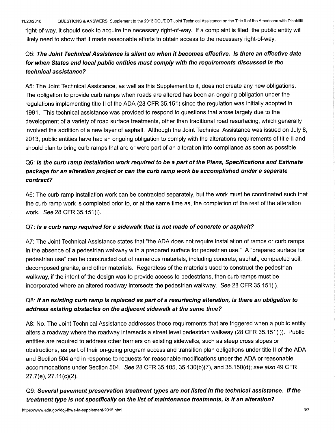11/20/2018 QUESTIONS & ANSWERS: Supplement to the 2013 DOJ/DOT Joint Technical Assistance on the Title II of the Americans with Disabiliti ...

right-of-way, it should seek to acquire the necessary right-of-way. If a complaint is filed, the public entity will likely need to show that it made reasonable efforts to obtain access to the necessary right-of-way.

## Q5: **The Joint Technical Assistance is silent on when it becomes effective. Is there an effective date for when States and local public entities must comply with the requirements discussed in the technical assistance?**

A5: The Joint Technical Assistance, as well as this Supplement to it, does not create any new obligations. The obligation to provide curb ramps when roads are altered has been an ongoing obligation under the regulations implementing title II of the ADA (28 CFR 35.151) since the regulation was initially adopted in 1991. This technical assistance was provided to respond to questions that arose largely due to the development of a variety of road surface treatments, other than traditional road resurfacing, which generally involved the addition of a new layer of asphalt. Although the Joint Technical Assistance was issued on July 8, 2013, public entities have had an ongoing obligation to comply with the alterations requirements of title II and should plan to bring curb ramps that are or were part of an alteration into compliance as soon as possible.

## Q6: **Is the curb ramp installation work required to be a part of the Plans, Specifications and Estimate package for an alteration project or can the curb ramp work be accomplished under a separate contract?**

A6: The curb ramp installation work can be contracted separately, but the work must be coordinated such that the curb ramp work is completed prior to, or at the same time as, the completion of the rest of the alteration work. See 28 CFR 35.151 (i).

#### Q7: Is **a curb ramp required for a sidewalk that is not made of concrete or asphalt?**

A7: The Joint Technical Assistance states that "the ADA does not require installation of ramps or curb ramps in the absence of a pedestrian walkway with a prepared surface for pedestrian use." A "prepared surface for pedestrian use" can be constructed out of numerous materials, including concrete, asphalt, compacted soil, decomposed granite, and other materials. Regardless of the materials used to construct the pedestrian walkway, if the intent of the design was to provide access to pedestrians, then curb ramps must be incorporated where an altered roadway intersects the pedestrian walkway. See 28 CFR 35.151 (i).

## QB: If **an existing curb ramp is replaced as part of a resurfacing alteration, is there an obligation to address existing obstacles on the adjacent sidewalk at the same time?**

AB: No. The Joint Technical Assistance addresses those requirements that are triggered when a public entity alters a roadway where the roadway intersects a street level pedestrian walkway (28 CFR 35.151(i)). Public entities are required to address other barriers on existing sidewalks, such as steep cross slopes or obstructions, as part of their on-going program access and transition plan obligations under title II of the ADA and Section 504 and in response to requests for reasonable modifications under the ADA or reasonable accommodations under Section 504. See 28 CFR 35.105, 35.130(b)(7), and 35.150(d); see also 49 CFR 27.?(e), 27.11(c)(2).

## Q9: **Several pavement preservation treatment types are not listed in the technical assistance.** *If* **the treatment type is not specifically on the list of maintenance treatments, is it an alteration?**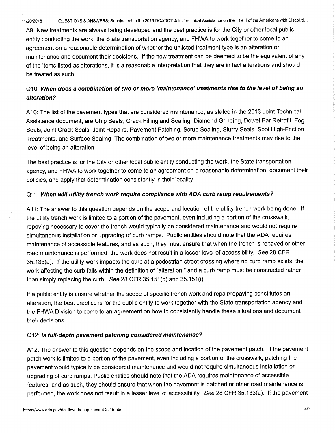A9: New treatments are always being developed and the best practice is for the City or other local public entity conducting the work, the State transportation agency, and FHWA to work together to come to an agreement on a reasonable determination of whether the unlisted treatment type is an alteration or maintenance and document their decisions. If the new treatment can be deemed to be the equivalent of any of the items listed as alterations, it is a reasonable interpretation that they are in fact alterations and should be treated as such.

#### Q10: **When does a combination of two or more 'maintenance' treatments rise to the level of being an alteration?**

A 10: The list of the pavement types that are considered maintenance, as stated in the 2013 Joint Technical Assistance document, are Chip Seals, Crack Filling and Sealing, Diamond Grinding, Dowel Bar Retrofit, Fog Seals, Joint Crack Seals, Joint Repairs, Pavement Patching, Scrub Sealing, Slurry Seals, Spot High-Friction Treatments, and Surface Sealing. The combination of two or more maintenance treatments may rise to the level of being an alteration.

The best practice is for the City or other local public entity conducting the work, the State transportation agency, and FHWA to work together to come to an agreement on a reasonable determination, document their policies, and apply that determination consistently in their locality.

#### Q11: **When will utility trench work require compliance with ADA curb ramp requirements?**

A 11: The answer to this question depends on the scope and location of the utility trench work being done. If the utility trench work is limited to a portion of the pavement, even including a portion of the crosswalk, repaving necessary to cover the trench would typically be considered maintenance and would not require simultaneous installation or upgrading of curb ramps. Public entities should note that the ADA requires maintenance of accessible features, and as such, they must ensure that when the trench is repaved or other road maintenance is performed, the work does not result in a lesser level of accessibility. See 28 CFR 35.133(a). If the utility work impacts the curb at a pedestrian street crossing where no curb ramp exists, the work affecting the curb falls within the definition of "alteration," and a curb ramp must be constructed rather than simply replacing the curb. See 28 CFR 35.151(b) and 35.151(i).

If a public entity is unsure whether the scope of specific trench work and repair/repaving constitutes an alteration, the best practice is for the public entity to work together with the State transportation agency and the FHWA Division to come to an agreement on how to consistently handle these situations and document their decisions.

#### Q12: Is **full-depth pavement patching considered maintenance?**

A 12: The answer to this question depends on the scope and location of the pavement patch. If the pavement patch work is limited to a portion of the pavement, even including a portion of the crosswalk, patching the pavement would typically be considered maintenance and would not require simultaneous installation or upgrading of curb ramps. Public entities should note that the ADA requires maintenance of accessible features, and as such, they should ensure that when the pavement is patched or other road maintenance is performed, the work does not result in a lesser level of accessibility. See 28 CFR 35.133(a). If the pavement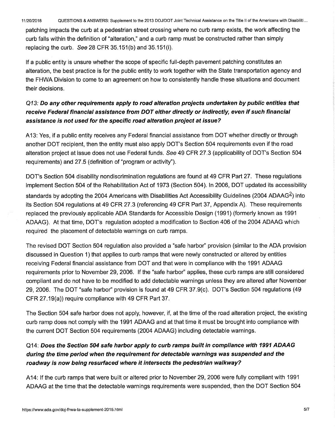11/20/2018 QUESTIONS & ANSWERS: Supplement to the 2013 DOJ/DOT Joint Technical Assistance on the Title II of the Americans with Disabiliti. ..

patching impacts the curb at a pedestrian street crossing where no curb ramp exists, the work affecting the curb falls within the definition of "alteration," and a curb ramp must be constructed rather than simply replacing the curb. See 28 CFR 35.151(b) and 35.151(i).

If a public entity is unsure whether the scope of specific full-depth pavement patching constitutes an alteration, the best practice is for the public entity to work together with the State transportation agency and the FHWA Division to come to an agreement on how to consistently handle these situations and document their decisions.

## Q13: **Do any other requirements apply to road alteration projects undertaken by public entities that receive Federal financial assistance from DOT either directly or indirectly, even if such financial assistance is not used for the specific road alteration project at issue?**

A 13: Yes, if a public entity receives any Federal financial assistance from DOT whether directly or through another DOT recipient, then the entity must also apply DOT's Section 504 requirements even if the road alteration project at issue does not use Federal funds. See 49 CFR 27.3 (applicability of DOT's Section 504 requirements) and 27.5 (definition of "program or activity").

DOT's Section 504 disability nondiscrimination regulations are found at 49 CFR Part 27. These regulations implement Section 504 of the Rehabilitation Act of 1973 (Section 504 ). In 2006, DOT updated its accessibility standards by adopting the 2004 Americans with Disabilities Act Accessibility Guidelines (2004 ADAAG<sup>2</sup>) into its Section 504 regulations at 49 CFR 27.3 (referencing 49 CFR Part 37, Appendix A). These requirements replaced the previously applicable ADA Standards for Accessible Design (1991) (formerly known as 1991 ADAAG). At that time, DOT's regulation adopted a modification to Section 406 of the 2004 ADAAG which required the placement of detectable warnings on curb ramps.

The revised DOT Section 504 regulation also provided a "safe harbor" provision (similar to the ADA provision discussed in Question 1) that applies to curb ramps that were newly constructed or altered by entities receiving Federal financial assistance from DOT and that were in compliance with the 1991 ADAAG requirements prior to November 29, 2006. If the "safe harbor" applies, these curb ramps are still considered compliant and do not have to be modified to add detectable warnings unless they are altered after November 29, 2006. The DOT "safe harbor" provision is found at 49 CFR 37.9(c). DOT's Section 504 regulations (49 CFR 27.19(a)) require compliance with 49 CFR Part 37.

The Section 504 safe harbor does not apply, however, if, at the time of the road alteration project, the existing curb ramp does not comply with the 1991 ADAAG and at that time it must be brought into compliance with the current DOT Section 504 requirements (2004 ADAAG) including detectable warnings.

## Q14: **Does the Section 504 safe harbor apply to curb ramps built in compliance with 1991 ADAAG during the time period when the requirement for detectable warnings was suspended and the roadway is now being resurfaced where it intersects the pedestrian walkway?**

A 14: If the curb ramps that were built or altered prior to November 29, 2006 were fully compliant with 1991 ADAAG at the time that the detectable warnings requirements were suspended, then the DOT Section 504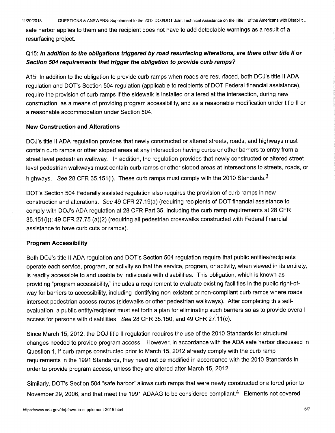safe harbor applies to them and the recipient does not have to add detectable warnings as a result of <sup>a</sup> resurfacing project.

#### 015: In **addition to the obligations triggered by road resurfacing alterations, are there other title II or Section 504 requirements that trigger the obligation to provide curb ramps?**

A 15: In addition to the obligation to provide curb ramps when roads are resurfaced, both DOJ's title II ADA regulation and DOT's Section 504 regulation (applicable to recipients of DOT Federal financial assistance), require the provision of curb ramps if the sidewalk is installed or altered at the intersection, during new construction, as a means of providing program accessibility, and as a reasonable modification under title II or a reasonable accommodation under Section 504.

#### **New Construction and Alterations**

DOJ's title II ADA regulation provides that newly constructed or altered streets, roads, and highways must contain curb ramps or other sloped areas at any intersection having curbs or other barriers to entry from a street level pedestrian walkway. In addition, the regulation provides that newly constructed or altered street level pedestrian walkways must contain curb ramps or other sloped areas at intersections to streets, roads, or highways. See 28 CFR 35.151(i). These curb ramps must comply with the 2010 Standards. $3$ 

DOT's Section 504 Federally assisted regulation also requires the provision of curb ramps in new construction and alterations. See 49 CFR 27.19(a) (requiring recipients of DOT financial assistance to comply with DOJ's ADA regulation at 28 CFR Part 35, including the curb ramp requirements at 28 CFR 35.151(i)); 49 CFR 27.75 (a)(2) (requiring all pedestrian crosswalks constructed with Federal financial assistance to have curb cuts or ramps).

#### **Program Accessibility**

Both DOJ's title II ADA regulation and DOT's Section 504 regulation require that public entities/recipients operate each service, program, or activity so that the service, program, or activity, when viewed in its entirety, is readily accessible to and usable by individuals with disabilities. This obligation, which is known as providing "program accessibility," includes a requirement to evaluate existing facilities in the public right-ofway for barriers to accessibility, including identifying non-existent or non-compliant curb ramps where roads intersect pedestrian access routes (sidewalks or other pedestrian walkways). After completing this selfevaluation, a public entity/recipient must set forth a plan for eliminating such barriers so as to provide overall access for persons with disabilities. See 28 CFR 35.150, and 49 CFR 27.11(c).

Since March 15, 2012, the DOJ title II regulation requires the use of the 2010 Standards for structural changes needed to provide program access. However, in accordance with the ADA safe harbor discussed in Question 1, if curb ramps constructed prior to March 15, 2012 already comply with the curb ramp requirements in the 1991 Standards, they need not be modified in accordance with the 2010 Standards in order to provide program access, unless they are altered after March 15, 2012.

Similarly, DOT's Section 504 "safe harbor" allows curb ramps that were newly constructed or altered prior to November 29, 2006, and that meet the 1991 ADAAG to be considered compliant. $4$  Elements not covered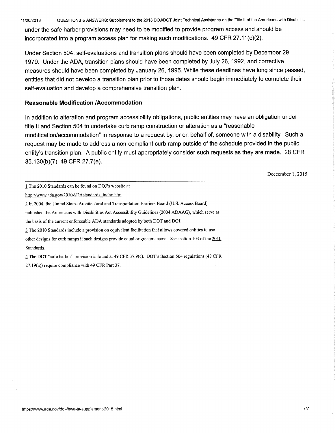11/20/2018 QUESTIONS & ANSWERS: Supplement to the 2013 DOJ/DOT Joint Technical Assistance on the Title II of the Americans with Disabiliti. ..

under the safe harbor provisions may need to be modified to provide program access and should be incorporated into a program access plan for making such modifications. 49 CFR 27.11(c)(2).

Under Section 504, self-evaluations and transition plans should have been completed by December 29, 1979. Under the ADA, transition plans should have been completed by July 26, 1992, and corrective measures should have been completed by January 26, 1995. While these deadlines have long since passed, entities that did not develop a transition plan prior to those dates should begin immediately to complete their self-evaluation and develop a comprehensive transition plan.

#### **Reasonable Modification /Accommodation**

In addition to alteration and program accessibility obligations, public entities may have an obligation under title 11 and Section 504 to undertake curb ramp construction or alteration as a "reasonable modification/accommodation" in response to a request by, or on behalf of, someone with a disability. Such a request may be made to address a non-compliant curb ramp outside of the schedule provided in the public entity's transition plan. A public entity must appropriately consider such requests as they are made. 28 CFR 35.130(b)(7); 49 CFR 27.7(e).

Deccember 1, 2015

published the Americans with Disabilities Act Accessibility Guidelines (2004 ADAAG), which serve as

l The 2010 Standards include a provision on equivalent facilitation that allows covered entities to use

other designs for curb ramps if such designs provide equal or greater access. *See* section 103 of the 2010 Standards.

1 The DOT "safe harbor" provision is found at 49 CFR 37.9(c). DOT's Section 504 regulations (49 CFR 27.19(a)) require compliance with 49 CFR Part 37.

l The 2010 Standards can be found on DOJ's website at

http://www.ada.gov/2010ADAstandards index.htm.

<sup>2</sup> In 2004, the United States Architectural and Transportation Barriers Board (U.S. Access Board)

the basis of the current enforceable ADA standards adopted by both DOT and DOJ.